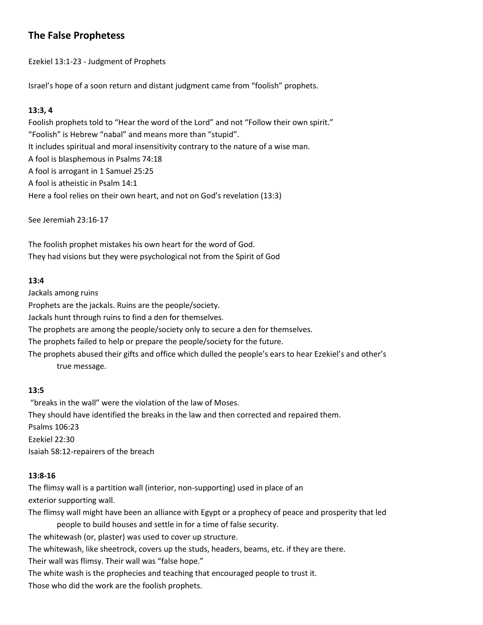# **The False Prophetess**

Ezekiel 13:1-23 - Judgment of Prophets

Israel's hope of a soon return and distant judgment came from "foolish" prophets.

### **13:3, 4**

Foolish prophets told to "Hear the word of the Lord" and not "Follow their own spirit." "Foolish" is Hebrew "nabal" and means more than "stupid". It includes spiritual and moral insensitivity contrary to the nature of a wise man. A fool is blasphemous in Psalms 74:18 A fool is arrogant in 1 Samuel 25:25 A fool is atheistic in Psalm 14:1 Here a fool relies on their own heart, and not on God's revelation (13:3)

See Jeremiah 23:16-17

The foolish prophet mistakes his own heart for the word of God. They had visions but they were psychological not from the Spirit of God

### **13:4**

Jackals among ruins Prophets are the jackals. Ruins are the people/society. Jackals hunt through ruins to find a den for themselves. The prophets are among the people/society only to secure a den for themselves. The prophets failed to help or prepare the people/society for the future. The prophets abused their gifts and office which dulled the people's ears to hear Ezekiel's and other's true message.

## **13:5**

"breaks in the wall" were the violation of the law of Moses. They should have identified the breaks in the law and then corrected and repaired them. Psalms 106:23 Ezekiel 22:30 Isaiah 58:12-repairers of the breach

### **13:8-16**

The flimsy wall is a partition wall (interior, non-supporting) used in place of an exterior supporting wall.

The flimsy wall might have been an alliance with Egypt or a prophecy of peace and prosperity that led people to build houses and settle in for a time of false security. The whitewash (or, plaster) was used to cover up structure. The whitewash, like sheetrock, covers up the studs, headers, beams, etc. if they are there. Their wall was flimsy. Their wall was "false hope." The white wash is the prophecies and teaching that encouraged people to trust it.

Those who did the work are the foolish prophets.